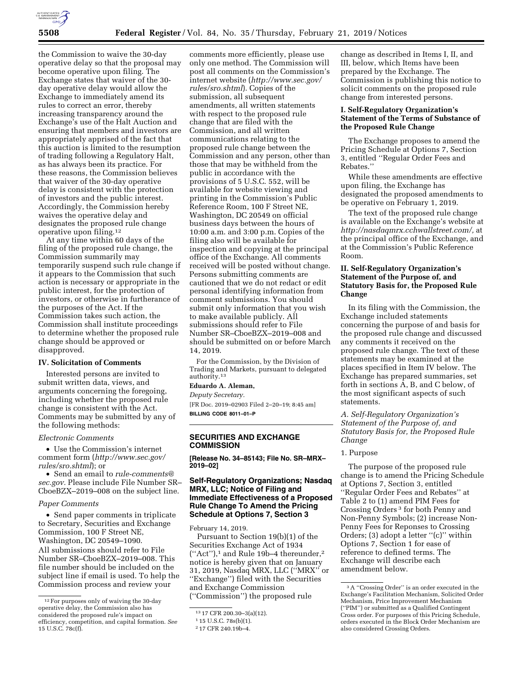

the Commission to waive the 30-day operative delay so that the proposal may become operative upon filing. The Exchange states that waiver of the 30 day operative delay would allow the Exchange to immediately amend its rules to correct an error, thereby increasing transparency around the Exchange's use of the Halt Auction and ensuring that members and investors are appropriately apprised of the fact that this auction is limited to the resumption of trading following a Regulatory Halt, as has always been its practice. For these reasons, the Commission believes that waiver of the 30-day operative delay is consistent with the protection of investors and the public interest. Accordingly, the Commission hereby waives the operative delay and designates the proposed rule change operative upon filing.12

At any time within 60 days of the filing of the proposed rule change, the Commission summarily may temporarily suspend such rule change if it appears to the Commission that such action is necessary or appropriate in the public interest, for the protection of investors, or otherwise in furtherance of the purposes of the Act. If the Commission takes such action, the Commission shall institute proceedings to determine whether the proposed rule change should be approved or disapproved.

# **IV. Solicitation of Comments**

Interested persons are invited to submit written data, views, and arguments concerning the foregoing, including whether the proposed rule change is consistent with the Act. Comments may be submitted by any of the following methods:

#### *Electronic Comments*

• Use the Commission's internet comment form (*[http://www.sec.gov/](http://www.sec.gov/rules/sro.shtml)  [rules/sro.shtml](http://www.sec.gov/rules/sro.shtml)*); or

• Send an email to *[rule-comments@](mailto:rule-comments@sec.gov) [sec.gov.](mailto:rule-comments@sec.gov)* Please include File Number SR– CboeBZX–2019–008 on the subject line.

#### *Paper Comments*

• Send paper comments in triplicate to Secretary, Securities and Exchange Commission, 100 F Street NE, Washington, DC 20549–1090. All submissions should refer to File Number SR–CboeBZX–2019–008. This file number should be included on the subject line if email is used. To help the Commission process and review your

comments more efficiently, please use only one method. The Commission will post all comments on the Commission's internet website (*[http://www.sec.gov/](http://www.sec.gov/rules/sro.shtml)  [rules/sro.shtml](http://www.sec.gov/rules/sro.shtml)*). Copies of the submission, all subsequent amendments, all written statements with respect to the proposed rule change that are filed with the Commission, and all written communications relating to the proposed rule change between the Commission and any person, other than those that may be withheld from the public in accordance with the provisions of 5 U.S.C. 552, will be available for website viewing and printing in the Commission's Public Reference Room, 100 F Street NE, Washington, DC 20549 on official business days between the hours of 10:00 a.m. and 3:00 p.m. Copies of the filing also will be available for inspection and copying at the principal office of the Exchange. All comments received will be posted without change. Persons submitting comments are cautioned that we do not redact or edit personal identifying information from comment submissions. You should submit only information that you wish to make available publicly. All submissions should refer to File Number SR–CboeBZX–2019–008 and should be submitted on or before March 14, 2019.

For the Commission, by the Division of Trading and Markets, pursuant to delegated authority.13

## **Eduardo A. Aleman,**

*Deputy Secretary.*  [FR Doc. 2019–02903 Filed 2–20–19; 8:45 am] **BILLING CODE 8011–01–P** 

# **SECURITIES AND EXCHANGE COMMISSION**

**[Release No. 34–85143; File No. SR–MRX– 2019–02]** 

# **Self-Regulatory Organizations; Nasdaq MRX, LLC; Notice of Filing and Immediate Effectiveness of a Proposed Rule Change To Amend the Pricing Schedule at Options 7, Section 3**

February 14, 2019.

Pursuant to Section 19(b)(1) of the Securities Exchange Act of 1934 (''Act''),1 and Rule 19b–4 thereunder,2 notice is hereby given that on January 31, 2019, Nasdaq MRX, LLC (''MRX'' or ''Exchange'') filed with the Securities and Exchange Commission (''Commission'') the proposed rule

change as described in Items I, II, and III, below, which Items have been prepared by the Exchange. The Commission is publishing this notice to solicit comments on the proposed rule change from interested persons.

# **I. Self-Regulatory Organization's Statement of the Terms of Substance of the Proposed Rule Change**

The Exchange proposes to amend the Pricing Schedule at Options 7, Section 3, entitled ''Regular Order Fees and Rebates.''

While these amendments are effective upon filing, the Exchange has designated the proposed amendments to be operative on February 1, 2019.

The text of the proposed rule change is available on the Exchange's website at *[http://nasdaqmrx.cchwallstreet.com/,](http://nasdaqmrx.cchwallstreet.com/)* at the principal office of the Exchange, and at the Commission's Public Reference Room.

# **II. Self-Regulatory Organization's Statement of the Purpose of, and Statutory Basis for, the Proposed Rule Change**

In its filing with the Commission, the Exchange included statements concerning the purpose of and basis for the proposed rule change and discussed any comments it received on the proposed rule change. The text of these statements may be examined at the places specified in Item IV below. The Exchange has prepared summaries, set forth in sections A, B, and C below, of the most significant aspects of such statements.

# *A. Self-Regulatory Organization's Statement of the Purpose of, and Statutory Basis for, the Proposed Rule Change*

#### 1. Purpose

The purpose of the proposed rule change is to amend the Pricing Schedule at Options 7, Section 3, entitled ''Regular Order Fees and Rebates'' at Table 2 to (1) amend PIM Fees for Crossing Orders 3 for both Penny and Non-Penny Symbols; (2) increase Non-Penny Fees for Reponses to Crossing Orders; (3) adopt a letter ''(c)'' within Options 7, Section 1 for ease of reference to defined terms. The Exchange will describe each amendment below.

<sup>12</sup>For purposes only of waiving the 30-day operative delay, the Commission also has considered the proposed rule's impact on efficiency, competition, and capital formation. *See*  15 U.S.C. 78c(f).

<sup>13</sup> 17 CFR 200.30–3(a)(12).

<sup>1</sup> 15 U.S.C. 78s(b)(1).

<sup>2</sup> 17 CFR 240.19b–4.

<sup>3</sup>A ''Crossing Order'' is an order executed in the Exchange's Facilitation Mechanism, Solicited Order Mechanism, Price Improvement Mechanism (''PIM'') or submitted as a Qualified Contingent Cross order. For purposes of this Pricing Schedule, orders executed in the Block Order Mechanism are also considered Crossing Orders.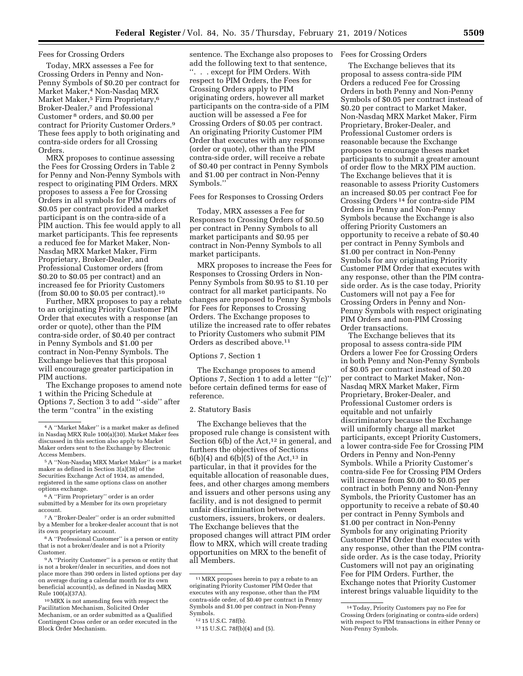### Fees for Crossing Orders

Today, MRX assesses a Fee for Crossing Orders in Penny and Non-Penny Symbols of \$0.20 per contract for Market Maker,4 Non-Nasdaq MRX Market Maker,<sup>5</sup> Firm Proprietary,<sup>6</sup> Broker-Dealer,7 and Professional Customer 8 orders, and \$0.00 per contract for Priority Customer Orders.9 These fees apply to both originating and contra-side orders for all Crossing Orders.

MRX proposes to continue assessing the Fees for Crossing Orders in Table 2 for Penny and Non-Penny Symbols with respect to originating PIM Orders. MRX proposes to assess a Fee for Crossing Orders in all symbols for PIM orders of \$0.05 per contract provided a market participant is on the contra-side of a PIM auction. This fee would apply to all market participants. This fee represents a reduced fee for Market Maker, Non-Nasdaq MRX Market Maker, Firm Proprietary, Broker-Dealer, and Professional Customer orders (from \$0.20 to \$0.05 per contract) and an increased fee for Priority Customers (from \$0.00 to \$0.05 per contract).10

Further, MRX proposes to pay a rebate to an originating Priority Customer PIM Order that executes with a response (an order or quote), other than the PIM contra-side order, of \$0.40 per contract in Penny Symbols and \$1.00 per contract in Non-Penny Symbols. The Exchange believes that this proposal will encourage greater participation in PIM auctions.

The Exchange proposes to amend note 1 within the Pricing Schedule at Options 7, Section 3 to add ''-side'' after the term ''contra'' in the existing

6A ''Firm Proprietary'' order is an order submitted by a Member for its own proprietary account.

7A ''Broker-Dealer'' order is an order submitted by a Member for a broker-dealer account that is not its own proprietary account.

8A ''Professional Customer'' is a person or entity that is not a broker/dealer and is not a Priority Customer.

9A ''Priority Customer'' is a person or entity that is not a broker/dealer in securities, and does not place more than 390 orders in listed options per day on average during a calendar month for its own beneficial account(s), as defined in Nasdaq MRX Rule 100(a)(37A).

10MRX is not amending fees with respect the Facilitation Mechanism, Solicited Order Mechanism, or an order submitted as a Qualified Contingent Cross order or an order executed in the Block Order Mechanism.

sentence. The Exchange also proposes to add the following text to that sentence, ''. . . except for PIM Orders. With respect to PIM Orders, the Fees for Crossing Orders apply to PIM originating orders, however all market participants on the contra-side of a PIM auction will be assessed a Fee for Crossing Orders of \$0.05 per contract. An originating Priority Customer PIM Order that executes with any response (order or quote), other than the PIM contra-side order, will receive a rebate of \$0.40 per contract in Penny Symbols and \$1.00 per contract in Non-Penny Symbols.''

### Fees for Responses to Crossing Orders

Today, MRX assesses a Fee for Responses to Crossing Orders of \$0.50 per contract in Penny Symbols to all market participants and \$0.95 per contract in Non-Penny Symbols to all market participants.

MRX proposes to increase the Fees for Responses to Crossing Orders in Non-Penny Symbols from \$0.95 to \$1.10 per contract for all market participants. No changes are proposed to Penny Symbols for Fees for Reponses to Crossing Orders. The Exchange proposes to utilize the increased rate to offer rebates to Priority Customers who submit PIM Orders as described above.11

# Options 7, Section 1

The Exchange proposes to amend Options 7, Section 1 to add a letter ''(c)'' before certain defined terms for ease of reference.

#### 2. Statutory Basis

The Exchange believes that the proposed rule change is consistent with Section  $6(b)$  of the Act,<sup>12</sup> in general, and furthers the objectives of Sections  $6(b)(4)$  and  $6(b)(5)$  of the Act,<sup>13</sup> in particular, in that it provides for the equitable allocation of reasonable dues, fees, and other charges among members and issuers and other persons using any facility, and is not designed to permit unfair discrimination between customers, issuers, brokers, or dealers. The Exchange believes that the proposed changes will attract PIM order flow to MRX, which will create trading opportunities on MRX to the benefit of all Members.

#### Fees for Crossing Orders

The Exchange believes that its proposal to assess contra-side PIM Orders a reduced Fee for Crossing Orders in both Penny and Non-Penny Symbols of \$0.05 per contract instead of \$0.20 per contract to Market Maker, Non-Nasdaq MRX Market Maker, Firm Proprietary, Broker-Dealer, and Professional Customer orders is reasonable because the Exchange proposes to encourage theses market participants to submit a greater amount of order flow to the MRX PIM auction. The Exchange believes that it is reasonable to assess Priority Customers an increased \$0.05 per contract Fee for Crossing Orders 14 for contra-side PIM Orders in Penny and Non-Penny Symbols because the Exchange is also offering Priority Customers an opportunity to receive a rebate of \$0.40 per contract in Penny Symbols and \$1.00 per contract in Non-Penny Symbols for any originating Priority Customer PIM Order that executes with any response, other than the PIM contraside order. As is the case today, Priority Customers will not pay a Fee for Crossing Orders in Penny and Non-Penny Symbols with respect originating PIM Orders and non-PIM Crossing Order transactions.

The Exchange believes that its proposal to assess contra-side PIM Orders a lower Fee for Crossing Orders in both Penny and Non-Penny Symbols of \$0.05 per contract instead of \$0.20 per contract to Market Maker, Non-Nasdaq MRX Market Maker, Firm Proprietary, Broker-Dealer, and Professional Customer orders is equitable and not unfairly discriminatory because the Exchange will uniformly charge all market participants, except Priority Customers, a lower contra-side Fee for Crossing PIM Orders in Penny and Non-Penny Symbols. While a Priority Customer's contra-side Fee for Crossing PIM Orders will increase from \$0.00 to \$0.05 per contract in both Penny and Non-Penny Symbols, the Priority Customer has an opportunity to receive a rebate of \$0.40 per contract in Penny Symbols and \$1.00 per contract in Non-Penny Symbols for any originating Priority Customer PIM Order that executes with any response, other than the PIM contraside order. As is the case today, Priority Customers will not pay an originating Fee for PIM Orders. Further, the Exchange notes that Priority Customer interest brings valuable liquidity to the

<sup>4</sup>A ''Market Maker'' is a market maker as defined in Nasdaq MRX Rule 100(a)(30). Market Maker fees discussed in this section also apply to Market Maker orders sent to the Exchange by Electronic Access Members.

<sup>5</sup>A ''Non-Nasdaq MRX Market Maker'' is a market maker as defined in Section 3(a)(38) of the Securities Exchange Act of 1934, as amended, registered in the same options class on another options exchange.

<sup>&</sup>lt;sup>11</sup> MRX proposes herein to pay a rebate to an originating Priority Customer PIM Order that executes with any response, other than the PIM contra-side order, of \$0.40 per contract in Penny Symbols and \$1.00 per contract in Non-Penny Symbols.

<sup>12</sup> 15 U.S.C. 78f(b).

<sup>13</sup> 15 U.S.C. 78f(b)(4) and (5).

<sup>14</sup>Today, Priority Customers pay no Fee for Crossing Orders (originating or contra-side orders) with respect to PIM transactions in either Penny or Non-Penny Symbols.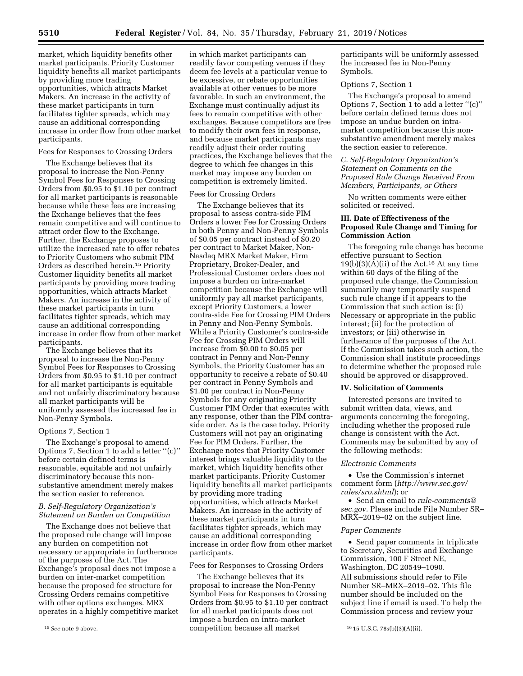market, which liquidity benefits other market participants. Priority Customer liquidity benefits all market participants by providing more trading opportunities, which attracts Market Makers. An increase in the activity of these market participants in turn facilitates tighter spreads, which may cause an additional corresponding increase in order flow from other market participants.

# Fees for Responses to Crossing Orders

The Exchange believes that its proposal to increase the Non-Penny Symbol Fees for Responses to Crossing Orders from \$0.95 to \$1.10 per contract for all market participants is reasonable because while these fees are increasing the Exchange believes that the fees remain competitive and will continue to attract order flow to the Exchange. Further, the Exchange proposes to utilize the increased rate to offer rebates to Priority Customers who submit PIM Orders as described herein.15 Priority Customer liquidity benefits all market participants by providing more trading opportunities, which attracts Market Makers. An increase in the activity of these market participants in turn facilitates tighter spreads, which may cause an additional corresponding increase in order flow from other market participants.

The Exchange believes that its proposal to increase the Non-Penny Symbol Fees for Responses to Crossing Orders from \$0.95 to \$1.10 per contract for all market participants is equitable and not unfairly discriminatory because all market participants will be uniformly assessed the increased fee in Non-Penny Symbols.

### Options 7, Section 1

The Exchange's proposal to amend Options 7, Section 1 to add a letter ''(c)'' before certain defined terms is reasonable, equitable and not unfairly discriminatory because this nonsubstantive amendment merely makes the section easier to reference.

# *B. Self-Regulatory Organization's Statement on Burden on Competition*

The Exchange does not believe that the proposed rule change will impose any burden on competition not necessary or appropriate in furtherance of the purposes of the Act. The Exchange's proposal does not impose a burden on inter-market competition because the proposed fee structure for Crossing Orders remains competitive with other options exchanges. MRX operates in a highly competitive market

in which market participants can readily favor competing venues if they deem fee levels at a particular venue to be excessive, or rebate opportunities available at other venues to be more favorable. In such an environment, the Exchange must continually adjust its fees to remain competitive with other exchanges. Because competitors are free to modify their own fees in response, and because market participants may readily adjust their order routing practices, the Exchange believes that the degree to which fee changes in this market may impose any burden on competition is extremely limited.

### Fees for Crossing Orders

The Exchange believes that its proposal to assess contra-side PIM Orders a lower Fee for Crossing Orders in both Penny and Non-Penny Symbols of \$0.05 per contract instead of \$0.20 per contract to Market Maker, Non-Nasdaq MRX Market Maker, Firm Proprietary, Broker-Dealer, and Professional Customer orders does not impose a burden on intra-market competition because the Exchange will uniformly pay all market participants, except Priority Customers, a lower contra-side Fee for Crossing PIM Orders in Penny and Non-Penny Symbols. While a Priority Customer's contra-side Fee for Crossing PIM Orders will increase from \$0.00 to \$0.05 per contract in Penny and Non-Penny Symbols, the Priority Customer has an opportunity to receive a rebate of \$0.40 per contract in Penny Symbols and \$1.00 per contract in Non-Penny Symbols for any originating Priority Customer PIM Order that executes with any response, other than the PIM contraside order. As is the case today, Priority Customers will not pay an originating Fee for PIM Orders. Further, the Exchange notes that Priority Customer interest brings valuable liquidity to the market, which liquidity benefits other market participants. Priority Customer liquidity benefits all market participants by providing more trading opportunities, which attracts Market Makers. An increase in the activity of these market participants in turn facilitates tighter spreads, which may cause an additional corresponding increase in order flow from other market participants.

### Fees for Responses to Crossing Orders

<sup>15</sup> See note 9 above. Competition because all market <sup>16</sup> 15 U.S.C. 78s(b)(3)(A)(ii). The Exchange believes that its proposal to increase the Non-Penny Symbol Fees for Responses to Crossing Orders from \$0.95 to \$1.10 per contract for all market participants does not impose a burden on intra-market

participants will be uniformly assessed the increased fee in Non-Penny Symbols.

# Options 7, Section 1

The Exchange's proposal to amend Options 7, Section 1 to add a letter ''(c)'' before certain defined terms does not impose an undue burden on intramarket competition because this nonsubstantive amendment merely makes the section easier to reference.

# *C. Self-Regulatory Organization's Statement on Comments on the Proposed Rule Change Received From Members, Participants, or Others*

No written comments were either solicited or received.

# **III. Date of Effectiveness of the Proposed Rule Change and Timing for Commission Action**

The foregoing rule change has become effective pursuant to Section 19(b)(3)( $\bar{A}$ )(ii) of the Act.<sup>16</sup> At any time within 60 days of the filing of the proposed rule change, the Commission summarily may temporarily suspend such rule change if it appears to the Commission that such action is: (i) Necessary or appropriate in the public interest; (ii) for the protection of investors; or (iii) otherwise in furtherance of the purposes of the Act. If the Commission takes such action, the Commission shall institute proceedings to determine whether the proposed rule should be approved or disapproved.

### **IV. Solicitation of Comments**

Interested persons are invited to submit written data, views, and arguments concerning the foregoing, including whether the proposed rule change is consistent with the Act. Comments may be submitted by any of the following methods:

### *Electronic Comments*

• Use the Commission's internet comment form (*[http://www.sec.gov/](http://www.sec.gov/rules/sro.shtml)  [rules/sro.shtml](http://www.sec.gov/rules/sro.shtml)*); or

• Send an email to *[rule-comments@](mailto:rule-comments@sec.gov) [sec.gov.](mailto:rule-comments@sec.gov)* Please include File Number SR– MRX–2019–02 on the subject line.

### *Paper Comments*

• Send paper comments in triplicate to Secretary, Securities and Exchange Commission, 100 F Street NE, Washington, DC 20549–1090. All submissions should refer to File Number SR–MRX–2019–02. This file number should be included on the subject line if email is used. To help the Commission process and review your